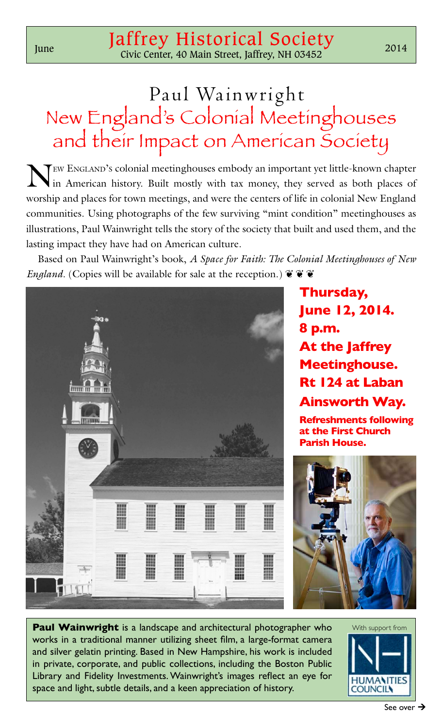## Paul Wainwright New England's Colonial Meetinghouses and their Impact on American Society

New England's colonial meetinghouses embody an important yet little-known chapter in American history. Built mostly with tax money, they served as both places of worship and places for town meetings, and were the centers of life in colonial New England communities. Using photographs of the few surviving "mint condition" meetinghouses as illustrations, Paul Wainwright tells the story of the society that built and used them, and the lasting impact they have had on American culture.

Based on Paul Wainwright's book, *A Space for Faith: The Colonial Meetinghouses of New England*. (Copies will be available for sale at the reception.)  $\ddot{\mathbf{v}} \ddot{\mathbf{v}}$ 



**Thursday, June 12, 2014. 8 p.m. At the Jaffrey Meetinghouse. Rt 124 at Laban Ainsworth Way. Refreshments following** 

**at the First Church** 

**Parish House.**



**Paul Wainwright** is a landscape and architectural photographer who works in a traditional manner utilizing sheet film, a large-format camera and silver gelatin printing. Based in New Hampshire, his work is included in private, corporate, and public collections, including the Boston Public Library and Fidelity Investments. Wainwright's images reflect an eye for space and light, subtle details, and a keen appreciation of history.